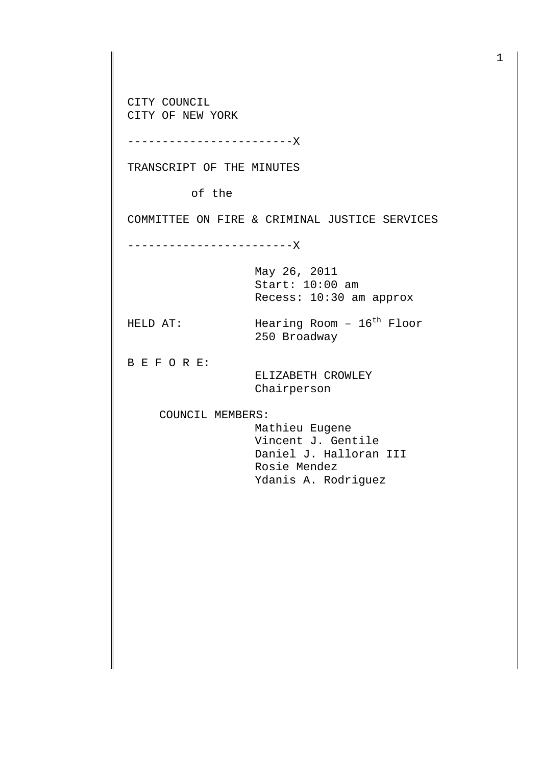CITY COUNCIL CITY OF NEW YORK

------------------------X

TRANSCRIPT OF THE MINUTES

of the

COMMITTEE ON FIRE & CRIMINAL JUSTICE SERVICES

------------------------X

May 26, 2011 Start: 10:00 am Recess: 10:30 am approx

HELD AT:  $\text{Hearing Room} - 16^{\text{th}} \text{ Floor}$ 250 Broadway

B E F O R E:

 ELIZABETH CROWLEY Chairperson

COUNCIL MEMBERS:

 Mathieu Eugene Vincent J. Gentile Daniel J. Halloran III Rosie Mendez Ydanis A. Rodriguez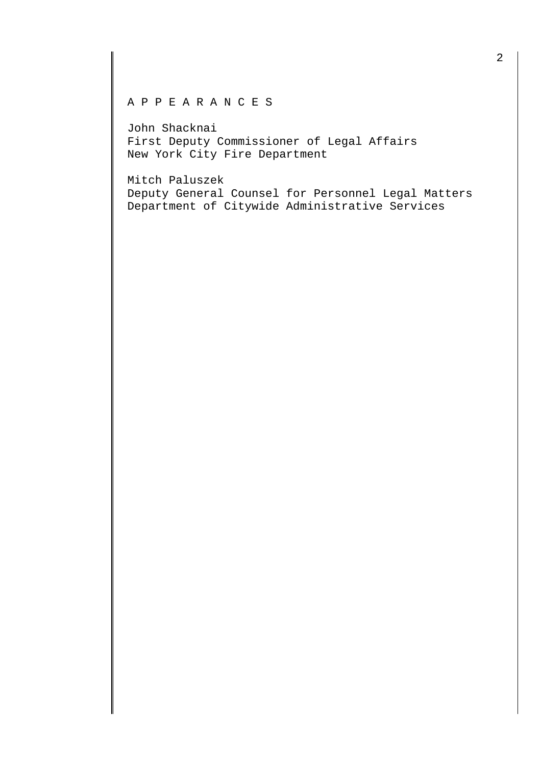## A P P E A R A N C E S

John Shacknai First Deputy Commissioner of Legal Affairs New York City Fire Department

Mitch Paluszek Deputy General Counsel for Personnel Legal Matters Department of Citywide Administrative Services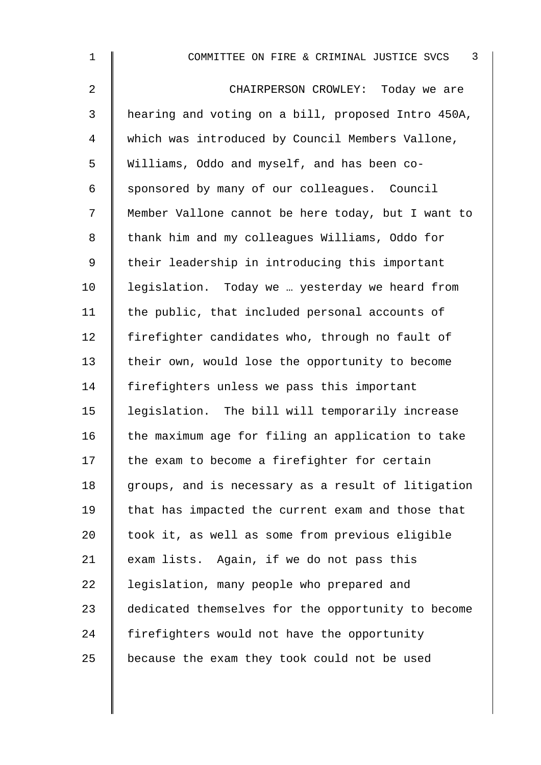| $\mathbf{1}$   | 3<br>COMMITTEE ON FIRE & CRIMINAL JUSTICE SVCS     |
|----------------|----------------------------------------------------|
| $\overline{a}$ | CHAIRPERSON CROWLEY: Today we are                  |
| 3              | hearing and voting on a bill, proposed Intro 450A, |
| 4              | which was introduced by Council Members Vallone,   |
| 5              | Williams, Oddo and myself, and has been co-        |
| 6              | sponsored by many of our colleagues. Council       |
| 7              | Member Vallone cannot be here today, but I want to |
| 8              | thank him and my colleagues Williams, Oddo for     |
| 9              | their leadership in introducing this important     |
| 10             | legislation. Today we  yesterday we heard from     |
| 11             | the public, that included personal accounts of     |
| 12             | firefighter candidates who, through no fault of    |
| 13             | their own, would lose the opportunity to become    |
| 14             | firefighters unless we pass this important         |
| 15             | legislation. The bill will temporarily increase    |
| 16             | the maximum age for filing an application to take  |
| 17             | the exam to become a firefighter for certain       |
| 18             | groups, and is necessary as a result of litigation |
| 19             | that has impacted the current exam and those that  |
| 20             | took it, as well as some from previous eligible    |
| 21             | exam lists. Again, if we do not pass this          |
| 22             | legislation, many people who prepared and          |
| 23             | dedicated themselves for the opportunity to become |
| 24             | firefighters would not have the opportunity        |
| 25             | because the exam they took could not be used       |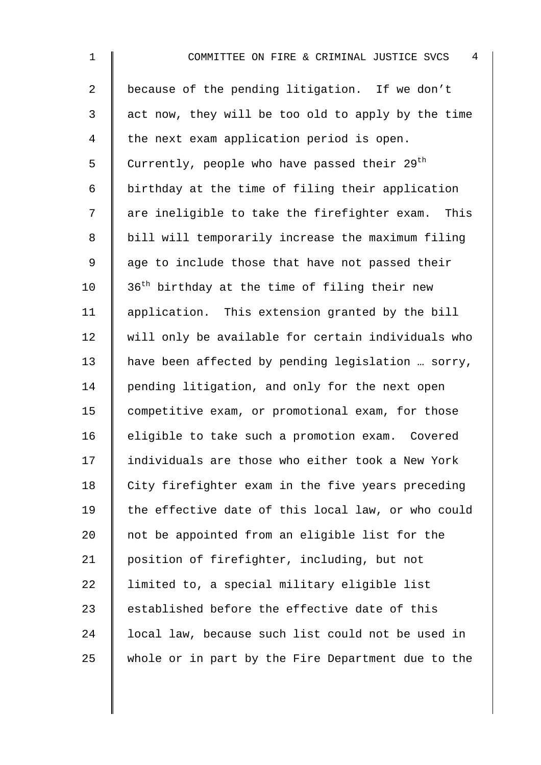2 | because of the pending litigation. If we don't  $3 \parallel$  act now, they will be too old to apply by the time 4 the next exam application period is open. 5  $\parallel$  Currently, people who have passed their 29<sup>th</sup> 6 birthday at the time of filing their application  $7 \parallel$  are ineligible to take the firefighter exam. This 8 | bill will temporarily increase the maximum filing 9 || age to include those that have not passed their 10  $\parallel$  36<sup>th</sup> birthday at the time of filing their new 11 | application. This extension granted by the bill  $12$  will only be available for certain individuals who 13 have been affected by pending legislation … sorry, 14 pending litigation, and only for the next open 15 competitive exam, or promotional exam, for those 16 eligible to take such a promotion exam. Covered 17 individuals are those who either took a New York  $18$  City firefighter exam in the five years preceding 19  $\parallel$  the effective date of this local law, or who could 20 not be appointed from an eligible list for the 21 position of firefighter, including, but not 22 | limited to, a special military eligible list 23  $\parallel$  established before the effective date of this 24 | local law, because such list could not be used in 25 whole or in part by the Fire Department due to the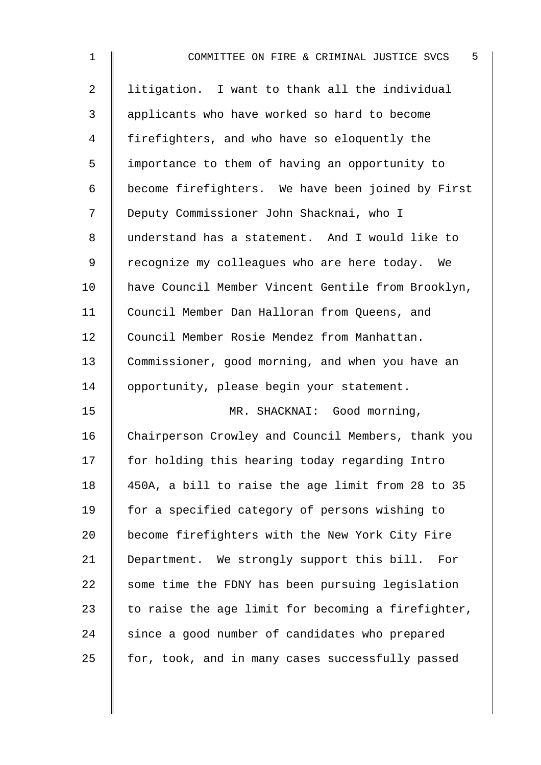| $\mathbf 1$    | 5<br>COMMITTEE ON FIRE & CRIMINAL JUSTICE SVCS     |
|----------------|----------------------------------------------------|
| $\overline{2}$ | litigation. I want to thank all the individual     |
| 3              | applicants who have worked so hard to become       |
| 4              | firefighters, and who have so eloquently the       |
| 5              | importance to them of having an opportunity to     |
| 6              | become firefighters. We have been joined by First  |
| 7              | Deputy Commissioner John Shacknai, who I           |
| 8              | understand has a statement. And I would like to    |
| 9              | recognize my colleagues who are here today. We     |
| 10             | have Council Member Vincent Gentile from Brooklyn, |
| 11             | Council Member Dan Halloran from Queens, and       |
| 12             | Council Member Rosie Mendez from Manhattan.        |
| 13             | Commissioner, good morning, and when you have an   |
| 14             | opportunity, please begin your statement.          |
| 15             | MR. SHACKNAI: Good morning,                        |
| 16             | Chairperson Crowley and Council Members, thank you |
| 17             | for holding this hearing today regarding Intro     |
| 18             | 450A, a bill to raise the age limit from 28 to 35  |
| 19             | for a specified category of persons wishing to     |
| 20             | become firefighters with the New York City Fire    |
| 21             | Department. We strongly support this bill.<br>For  |
| 22             | some time the FDNY has been pursuing legislation   |
| 23             | to raise the age limit for becoming a firefighter, |
| 24             | since a good number of candidates who prepared     |
| 25             | for, took, and in many cases successfully passed   |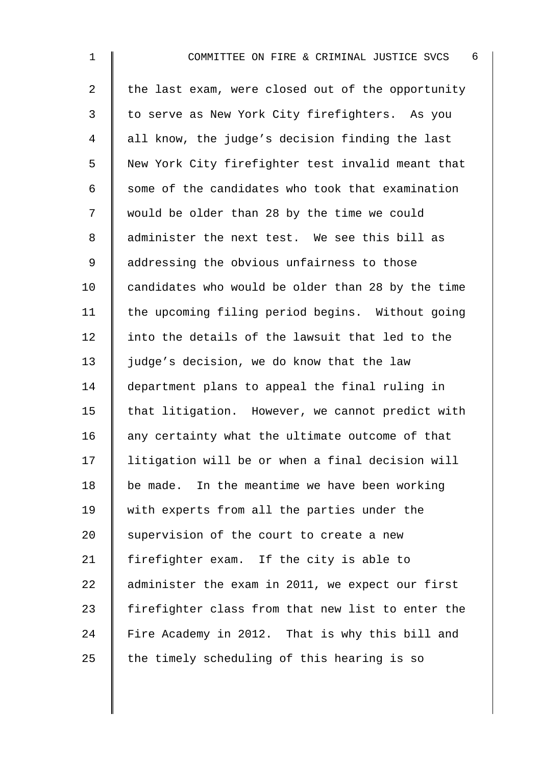2  $\parallel$  the last exam, were closed out of the opportunity 3 | to serve as New York City firefighters. As you 4 all know, the judge's decision finding the last 5 New York City firefighter test invalid meant that  $6 \parallel$  some of the candidates who took that examination 7 would be older than 28 by the time we could 8 administer the next test. We see this bill as 9 || addressing the obvious unfairness to those  $10$  | candidates who would be older than 28 by the time 11 | the upcoming filing period begins. Without going 12 I into the details of the lawsuit that led to the 13  $\parallel$  judge's decision, we do know that the law 14 department plans to appeal the final ruling in 15  $\parallel$  that litigation. However, we cannot predict with  $16$  any certainty what the ultimate outcome of that 17 litigation will be or when a final decision will 18  $\parallel$  be made. In the meantime we have been working 19 With experts from all the parties under the 20  $\parallel$  supervision of the court to create a new 21 | firefighter exam. If the city is able to 22 administer the exam in 2011, we expect our first 23  $\parallel$  firefighter class from that new list to enter the 24 Fire Academy in 2012. That is why this bill and 25  $\parallel$  the timely scheduling of this hearing is so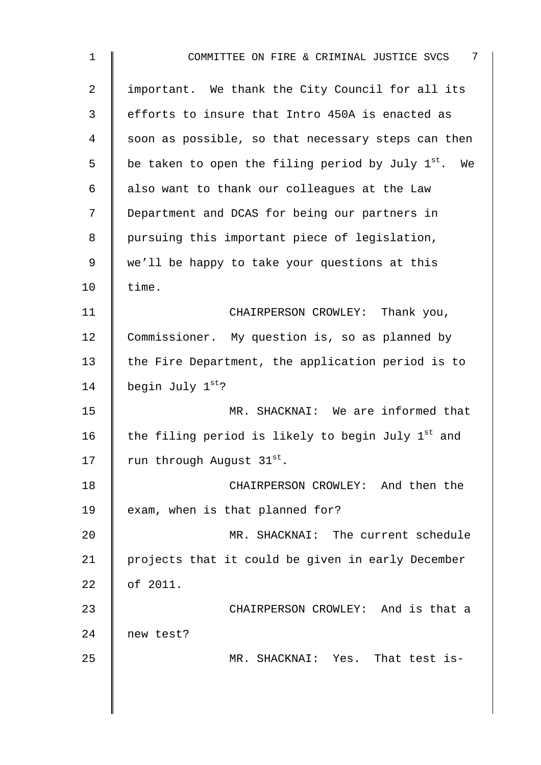| $\mathbf{1}$ | 7<br>COMMITTEE ON FIRE & CRIMINAL JUSTICE SVCS                  |
|--------------|-----------------------------------------------------------------|
| 2            | important. We thank the City Council for all its                |
| 3            | efforts to insure that Intro 450A is enacted as                 |
| 4            | soon as possible, so that necessary steps can then              |
| 5            | be taken to open the filing period by July 1 <sup>st</sup> . We |
| 6            | also want to thank our colleagues at the Law                    |
| 7            | Department and DCAS for being our partners in                   |
| 8            | pursuing this important piece of legislation,                   |
| 9            | we'll be happy to take your questions at this                   |
| 10           | time.                                                           |
| 11           | CHAIRPERSON CROWLEY: Thank you,                                 |
| 12           | Commissioner. My question is, so as planned by                  |
| 13           | the Fire Department, the application period is to               |
| 14           | begin July 1st?                                                 |
| 15           | MR. SHACKNAI: We are informed that                              |
| 16           | the filing period is likely to begin July 1 <sup>st</sup> and   |
| 17           | run through August 31st.                                        |
| 18           | CHAIRPERSON CROWLEY: And then the                               |
| 19           | exam, when is that planned for?                                 |
| 20           | MR. SHACKNAI: The current schedule                              |
| 21           | projects that it could be given in early December               |
| 22           | of 2011.                                                        |
| 23           | CHAIRPERSON CROWLEY: And is that a                              |
| 24           | new test?                                                       |
| 25           | MR. SHACKNAI: Yes. That test is-                                |
|              |                                                                 |
|              |                                                                 |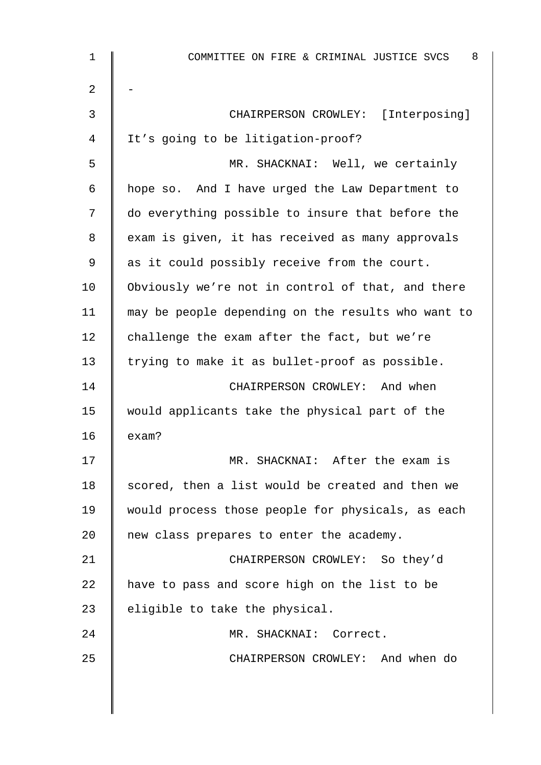| 1  | 8<br>COMMITTEE ON FIRE & CRIMINAL JUSTICE SVCS     |
|----|----------------------------------------------------|
| 2  |                                                    |
| 3  | CHAIRPERSON CROWLEY: [Interposing]                 |
| 4  | It's going to be litigation-proof?                 |
| 5  | MR. SHACKNAI: Well, we certainly                   |
| 6  | hope so. And I have urged the Law Department to    |
| 7  | do everything possible to insure that before the   |
| 8  | exam is given, it has received as many approvals   |
| 9  | as it could possibly receive from the court.       |
| 10 | Obviously we're not in control of that, and there  |
| 11 | may be people depending on the results who want to |
| 12 | challenge the exam after the fact, but we're       |
| 13 | trying to make it as bullet-proof as possible.     |
| 14 | CHAIRPERSON CROWLEY: And when                      |
| 15 | would applicants take the physical part of the     |
| 16 | exam?                                              |
| 17 | MR. SHACKNAI: After the exam is                    |
| 18 | scored, then a list would be created and then we   |
| 19 | would process those people for physicals, as each  |
| 20 | new class prepares to enter the academy.           |
| 21 | CHAIRPERSON CROWLEY: So they'd                     |
| 22 | have to pass and score high on the list to be      |
| 23 | eligible to take the physical.                     |
| 24 | MR. SHACKNAI: Correct.                             |
| 25 | CHAIRPERSON CROWLEY: And when do                   |
|    |                                                    |
|    |                                                    |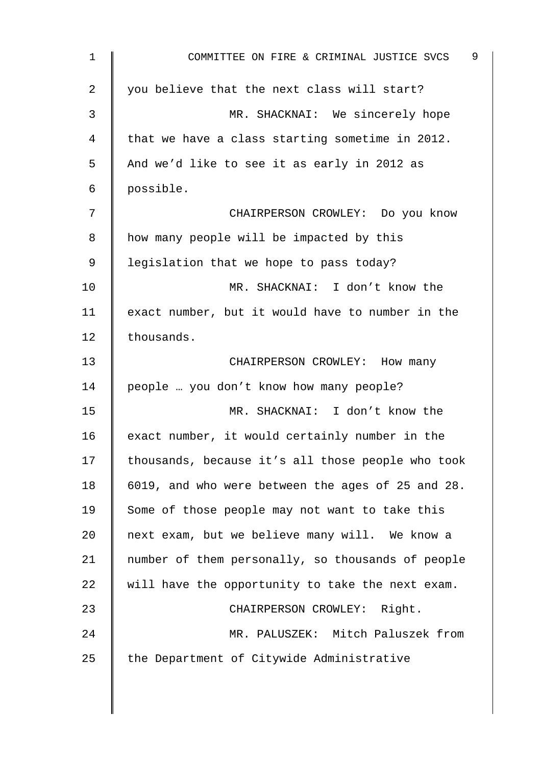| $\mathbf 1$    | 9<br>COMMITTEE ON FIRE & CRIMINAL JUSTICE SVCS    |
|----------------|---------------------------------------------------|
| $\overline{2}$ | you believe that the next class will start?       |
| 3              | MR. SHACKNAI: We sincerely hope                   |
| 4              | that we have a class starting sometime in 2012.   |
| 5              | And we'd like to see it as early in 2012 as       |
| 6              | possible.                                         |
| 7              | CHAIRPERSON CROWLEY: Do you know                  |
| 8              | how many people will be impacted by this          |
| 9              | legislation that we hope to pass today?           |
| 10             | MR. SHACKNAI: I don't know the                    |
| 11             | exact number, but it would have to number in the  |
| 12             | thousands.                                        |
| 13             | CHAIRPERSON CROWLEY: How many                     |
| 14             | people  you don't know how many people?           |
| 15             | MR. SHACKNAI: I don't know the                    |
| 16             | exact number, it would certainly number in the    |
| 17             | thousands, because it's all those people who took |
| 18             | 6019, and who were between the ages of 25 and 28. |
| 19             | Some of those people may not want to take this    |
| 20             | next exam, but we believe many will. We know a    |
| 21             | number of them personally, so thousands of people |
| 22             | will have the opportunity to take the next exam.  |
| 23             | CHAIRPERSON CROWLEY: Right.                       |
| 24             | MR. PALUSZEK: Mitch Paluszek from                 |
| 25             | the Department of Citywide Administrative         |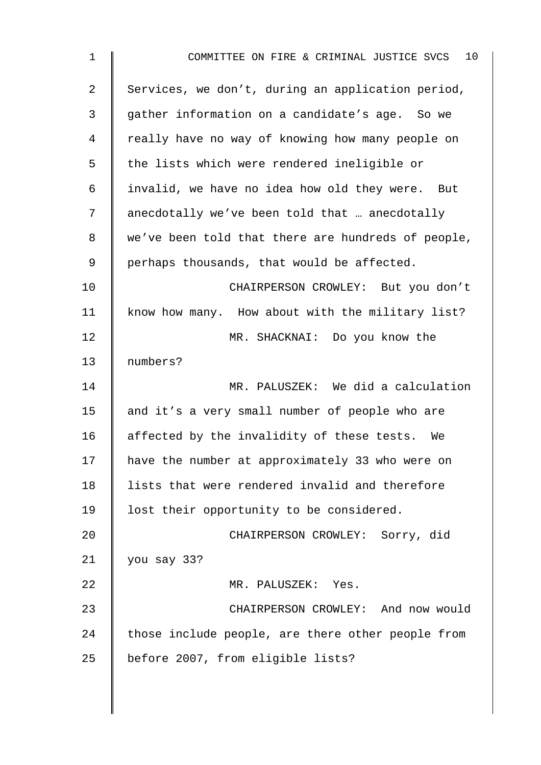| $\mathbf 1$ | 10<br>COMMITTEE ON FIRE & CRIMINAL JUSTICE SVCS    |
|-------------|----------------------------------------------------|
| 2           | Services, we don't, during an application period,  |
| 3           | gather information on a candidate's age. So we     |
| 4           | really have no way of knowing how many people on   |
| 5           | the lists which were rendered ineligible or        |
| 6           | invalid, we have no idea how old they were. But    |
| 7           | anecdotally we've been told that  anecdotally      |
| 8           | we've been told that there are hundreds of people, |
| 9           | perhaps thousands, that would be affected.         |
| 10          | CHAIRPERSON CROWLEY: But you don't                 |
| 11          | know how many. How about with the military list?   |
| 12          | MR. SHACKNAI: Do you know the                      |
| 13          | numbers?                                           |
| 14          | MR. PALUSZEK: We did a calculation                 |
| 15          | and it's a very small number of people who are     |
| 16          | affected by the invalidity of these tests. We      |
| 17          | have the number at approximately 33 who were on    |
| 18          | lists that were rendered invalid and therefore     |
| 19          | lost their opportunity to be considered.           |
| 20          | CHAIRPERSON CROWLEY: Sorry, did                    |
| 21          | you say 33?                                        |
| 22          | MR. PALUSZEK: Yes.                                 |
| 23          | CHAIRPERSON CROWLEY: And now would                 |
| 24          | those include people, are there other people from  |
| 25          | before 2007, from eligible lists?                  |
|             |                                                    |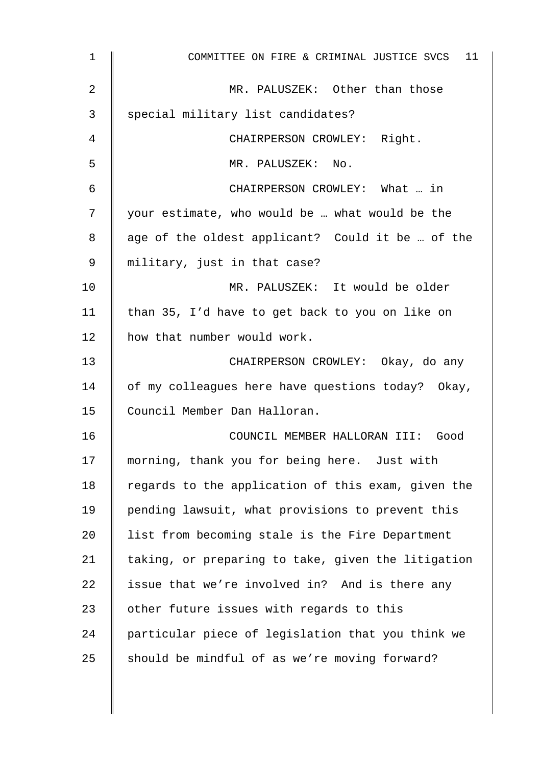| $\mathbf{1}$ | COMMITTEE ON FIRE & CRIMINAL JUSTICE SVCS 11       |
|--------------|----------------------------------------------------|
| 2            | MR. PALUSZEK: Other than those                     |
| 3            | special military list candidates?                  |
| 4            | CHAIRPERSON CROWLEY: Right.                        |
| 5            | MR. PALUSZEK: No.                                  |
| 6            | CHAIRPERSON CROWLEY: What  in                      |
| 7            | your estimate, who would be  what would be the     |
| 8            | age of the oldest applicant? Could it be  of the   |
| 9            | military, just in that case?                       |
| 10           | MR. PALUSZEK: It would be older                    |
| 11           | than 35, I'd have to get back to you on like on    |
| 12           | how that number would work.                        |
| 13           | CHAIRPERSON CROWLEY: Okay, do any                  |
| 14           | of my colleagues here have questions today? Okay,  |
| 15           | Council Member Dan Halloran.                       |
| 16           | COUNCIL MEMBER HALLORAN III: Good                  |
| 17           | morning, thank you for being here. Just with       |
| 18           | regards to the application of this exam, given the |
| 19           | pending lawsuit, what provisions to prevent this   |
| 20           | list from becoming stale is the Fire Department    |
| 21           | taking, or preparing to take, given the litigation |
| 22           | issue that we're involved in? And is there any     |
| 23           | other future issues with regards to this           |
| 24           | particular piece of legislation that you think we  |
| 25           | should be mindful of as we're moving forward?      |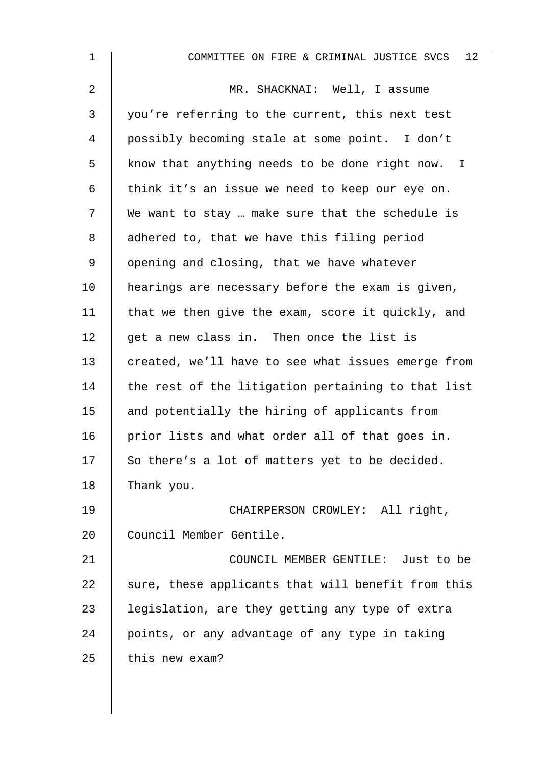| $\mathbf{1}$   | 12<br>COMMITTEE ON FIRE & CRIMINAL JUSTICE SVCS    |
|----------------|----------------------------------------------------|
| $\overline{a}$ | MR. SHACKNAI: Well, I assume                       |
| 3              | you're referring to the current, this next test    |
| 4              | possibly becoming stale at some point. I don't     |
| 5              | know that anything needs to be done right now. I   |
| 6              | think it's an issue we need to keep our eye on.    |
| 7              | We want to stay  make sure that the schedule is    |
| 8              | adhered to, that we have this filing period        |
| 9              | opening and closing, that we have whatever         |
| 10             | hearings are necessary before the exam is given,   |
| 11             | that we then give the exam, score it quickly, and  |
| 12             | get a new class in. Then once the list is          |
| 13             | created, we'll have to see what issues emerge from |
| 14             | the rest of the litigation pertaining to that list |
| 15             | and potentially the hiring of applicants from      |
| 16             | prior lists and what order all of that goes in.    |
| 17             | So there's a lot of matters yet to be decided.     |
| 18             | Thank you.                                         |
| 19             | CHAIRPERSON CROWLEY: All right,                    |
| 20             | Council Member Gentile.                            |
| 21             | COUNCIL MEMBER GENTILE: Just to be                 |
| 22             | sure, these applicants that will benefit from this |
| 23             | legislation, are they getting any type of extra    |
| 24             | points, or any advantage of any type in taking     |
| 25             | this new exam?                                     |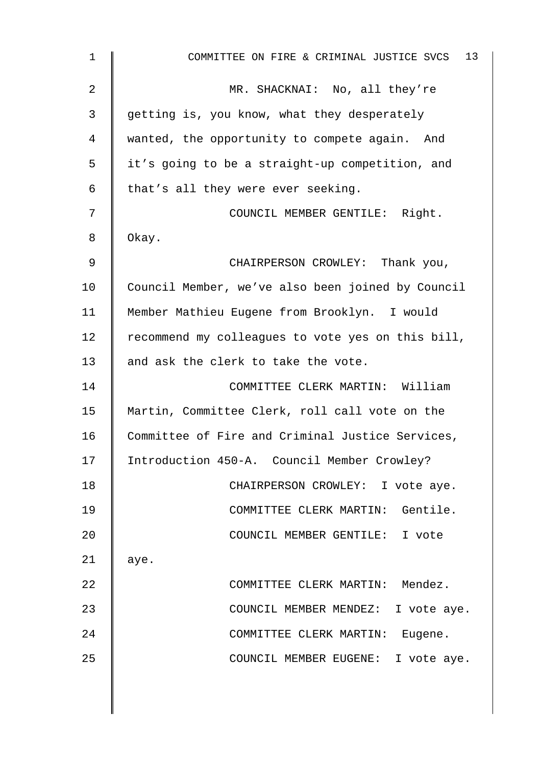| $\mathbf 1$    | 13<br>COMMITTEE ON FIRE & CRIMINAL JUSTICE SVCS   |
|----------------|---------------------------------------------------|
| $\overline{a}$ | MR. SHACKNAI: No, all they're                     |
| 3              | getting is, you know, what they desperately       |
| 4              | wanted, the opportunity to compete again. And     |
| 5              | it's going to be a straight-up competition, and   |
| 6              | that's all they were ever seeking.                |
| 7              | COUNCIL MEMBER GENTILE: Right.                    |
| 8              | Okay.                                             |
| 9              | CHAIRPERSON CROWLEY: Thank you,                   |
| 10             | Council Member, we've also been joined by Council |
| 11             | Member Mathieu Eugene from Brooklyn. I would      |
| 12             | recommend my colleagues to vote yes on this bill, |
| 13             | and ask the clerk to take the vote.               |
| 14             | COMMITTEE CLERK MARTIN: William                   |
| 15             | Martin, Committee Clerk, roll call vote on the    |
| 16             | Committee of Fire and Criminal Justice Services,  |
| 17             | Introduction 450-A. Council Member Crowley?       |
| 18             | CHAIRPERSON CROWLEY: I vote aye.                  |
| 19             | COMMITTEE CLERK MARTIN: Gentile.                  |
| 20             | COUNCIL MEMBER GENTILE: I vote                    |
| 21             | aye.                                              |
| 22             | COMMITTEE CLERK MARTIN: Mendez.                   |
| 23             | COUNCIL MEMBER MENDEZ: I vote aye.                |
| 24             | COMMITTEE CLERK MARTIN: Eugene.                   |
| 25             | COUNCIL MEMBER EUGENE: I vote aye.                |
|                |                                                   |
|                |                                                   |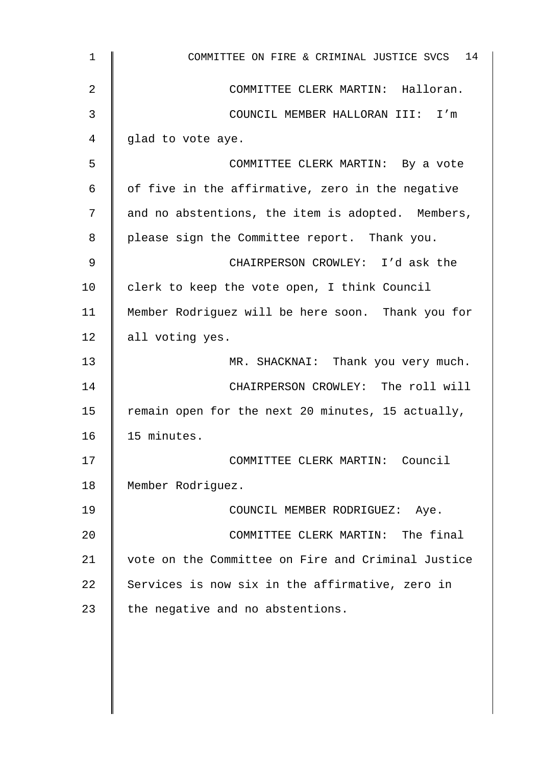| $\mathbf 1$ | COMMITTEE ON FIRE & CRIMINAL JUSTICE SVCS 14       |
|-------------|----------------------------------------------------|
| 2           | COMMITTEE CLERK MARTIN: Halloran.                  |
| 3           | COUNCIL MEMBER HALLORAN III: I'm                   |
| 4           | glad to vote aye.                                  |
| 5           | COMMITTEE CLERK MARTIN: By a vote                  |
| 6           | of five in the affirmative, zero in the negative   |
| 7           | and no abstentions, the item is adopted. Members,  |
| 8           | please sign the Committee report. Thank you.       |
| 9           | CHAIRPERSON CROWLEY: I'd ask the                   |
| 10          | clerk to keep the vote open, I think Council       |
| 11          | Member Rodriguez will be here soon. Thank you for  |
| 12          | all voting yes.                                    |
| 13          | MR. SHACKNAI: Thank you very much.                 |
| 14          | CHAIRPERSON CROWLEY: The roll will                 |
| 15          | remain open for the next 20 minutes, 15 actually,  |
| 16          | 15 minutes.                                        |
| 17          | COMMITTEE CLERK MARTIN: Council                    |
| 18          | Member Rodriguez.                                  |
| 19          | COUNCIL MEMBER RODRIGUEZ: Aye.                     |
| 20          | COMMITTEE CLERK MARTIN: The final                  |
| 21          | vote on the Committee on Fire and Criminal Justice |
| 22          | Services is now six in the affirmative, zero in    |
| 23          | the negative and no abstentions.                   |
|             |                                                    |
|             |                                                    |